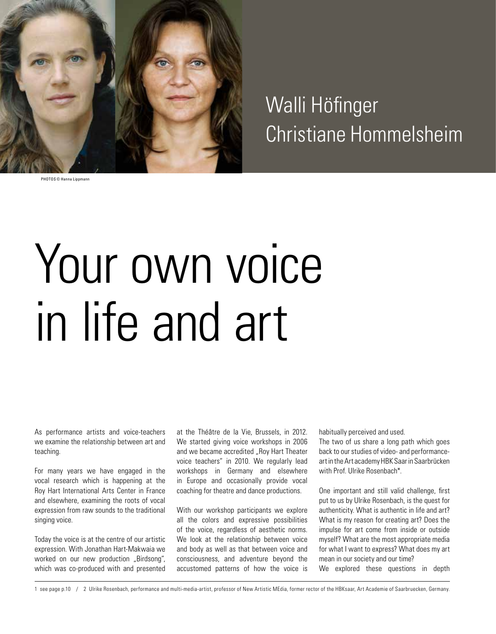

Walli Höfinger Christiane Hommelsheim

PHOTOS © Hanna Lippmann

# Your own voice in life and art

As performance artists and voice-teachers we examine the relationship between art and teaching.

For many years we have engaged in the vocal research which is happening at the Roy Hart International Arts Center in France and elsewhere, examining the roots of vocal expression from raw sounds to the traditional singing voice.

Today the voice is at the centre of our artistic expression. With Jonathan Hart-Makwaia we worked on our new production "Birdsong", which was co-produced with and presented at the Théâtre de la Vie, Brussels, in 2012. We started giving voice workshops in 2006 and we became accredited "Roy Hart Theater voice teachers" in 2010. We regularly lead workshops in Germany and elsewhere in Europe and occasionally provide vocal coaching for theatre and dance productions.

With our workshop participants we explore all the colors and expressive possibilities of the voice, regardless of aesthetic norms. We look at the relationship between voice and body as well as that between voice and consciousness, and adventure beyond the accustomed patterns of how the voice is

habitually perceived and used.

The two of us share a long path which goes back to our studies of video- and performanceart in the Art academy HBK Saar in Saarbrücken with Prof. Ulrike Rosenbach\*.

One important and still valid challenge, first put to us by Ulrike Rosenbach, is the quest for authenticity. What is authentic in life and art? What is my reason for creating art? Does the impulse for art come from inside or outside myself? What are the most appropriate media for what I want to express? What does my art mean in our society and our time?

We explored these questions in depth

1 see page p.10 / 2 Ulrike Rosenbach, performance and multi-media-artist, professor of New Artistic MEdia, former rector of the HBKsaar, Art Academie of Saarbruecken, Germany.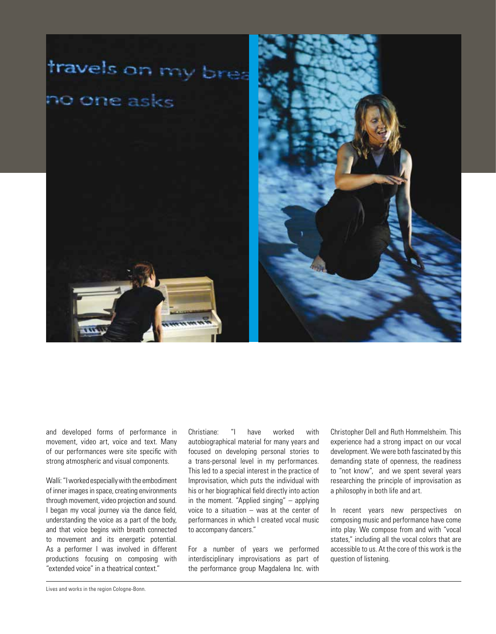

and developed forms of performance in movement, video art, voice and text. Many of our performances were site specific with strong atmospheric and visual components.

Walli: "I worked especially with the embodiment of inner images in space, creating environments through movement, video projection and sound. I began my vocal journey via the dance field, understanding the voice as a part of the body, and that voice begins with breath connected to movement and its energetic potential. As a performer I was involved in different productions focusing on composing with "extended voice" in a theatrical context."

Christiane: "I have worked with autobiographical material for many years and focused on developing personal stories to a trans-personal level in my performances. This led to a special interest in the practice of Improvisation, which puts the individual with his or her biographical field directly into action in the moment. "Applied singing" – applying voice to a situation – was at the center of performances in which I created vocal music to accompany dancers."

For a number of years we performed interdisciplinary improvisations as part of the performance group Magdalena Inc. with Christopher Dell and Ruth Hommelsheim. This experience had a strong impact on our vocal development. We were both fascinated by this demanding state of openness, the readiness to "not know", and we spent several years researching the principle of improvisation as a philosophy in both life and art.

In recent years new perspectives on composing music and performance have come into play. We compose from and with "vocal states," including all the vocal colors that are accessible to us. At the core of this work is the question of listening.

Lives and works in the region Cologne-Bonn.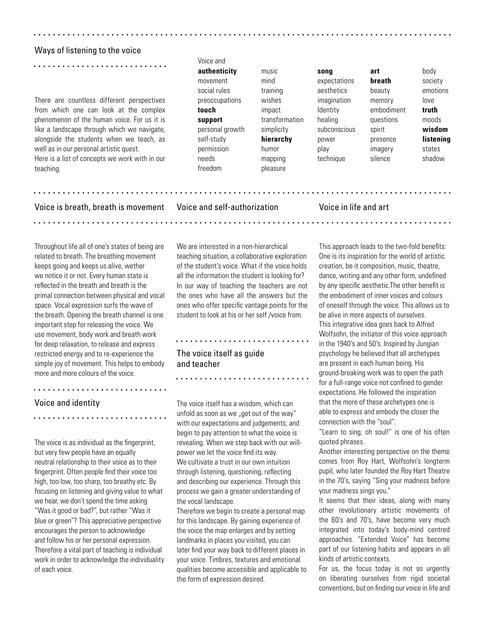#### Ways of listening to the voice

There are countless different perspectives from which one can look at the complex phenomenon of the human voice. For us it is like a landscape through which we navigate, alongside the students when we teach, as well as in our personal artistic quest. Here is a list of concepts we work with in our teaching.

Voice is breath, breath is movement

. . . . . . . . . . . . . . . .

Voice and

movement mind expectations **breath** society social rules training aesthetics beauty emotions preoccupations wishes imagination memory love **touch** impact Identity embodiment **truth support** transformation healing questions moods personal growth simplicity subconscious spirit **wisdom** self-study **hierarchy** power presence **listening** permission humor play imagery states needs mapping technique silence shadow freedom pleasure

**authenticity** music **song art** body

. . . . . . . . . .

### Voice and self-authorization

# Voice in life and art

Throughout life all of one's states of being are related to breath. The breathing movement keeps going and keeps us alive, wether we notice it or not. Every human state is reflected in the breath and breath is the primal connection between physical and vocal space. Vocal expression surfs the wave of the breath. Opening the breath channel is one important step for releasing the voice. We use movement, body work and breath work for deep relaxation, to release and express restricted energy and to re-experience the simple joy of movement. This helps to embody more and more colours of the voice.

# Voice and identity

The voice is as individual as the fingerprint, but very few people have an equally neutral relationship to their voice as to their fingerprint. Often people find their voice too high, too low, too sharp, too breathy etc. By focusing on listening and giving value to what we hear, we don't spend the time asking "Was it good or bad?", but rather "Was it blue or green"? This appreciative perspective encourages the person to acknowledge and follow his or her personal expression. Therefore a vital part of teaching is individual work in order to acknowledge the individuality of each voice.

We are interested in a non-hierarchical teaching situation, a collaborative exploration of the student's voice. What if the voice holds all the information the student is looking for? In our way of teaching the teachers are not the ones who have all the answers but the ones who offer specific vantage points for the student to look at his or her self /voice from.

# 

# The voice itself as guide and teacher

The voice itself has a wisdom, which can unfold as soon as we "get out of the way" with our expectations and judgements, and begin to pay attention to what the voice is revealing. When we step back with our willpower we let the voice find its way. We cultivate a trust in our own intuition through listening, questioning, reflecting and describing our experience. Through this process we gain a greater understanding of the vocal landscape.

Therefore we begin to create a personal map for this landscape. By gaining experience of the voice the map enlarges and by setting landmarks in places you visited, you can later find your way back to different places in your voice. Timbres, textures and emotional qualities become accessible and applicable to the form of expression desired.

This approach leads to the two-fold benefits: One is its inspiration for the world of artistic creation, be it composition, music, theatre, dance, writing and any other form, undefined by any specific aesthetic.The other benefit is the embodiment of inner voices and colours of oneself through the voice. This allows us to be alive in more aspects of ourselves. This integrative idea goes back to Alfred Wolfsohn, the initiator of this voice approach in the 1940's and 50's. Inspired by Jungian psychology he believed that all archetypes are present in each human being. His ground-breaking work was to open the path for a full-range voice not confined to gender expectations. He followed the inspiration that the more of these archetypes one is able to express and embody the closer the connection with the "soul".

"Learn to sing, oh soul!" is one of his often quoted phrases.

Another interesting perspective on the theme comes from Roy Hart, Wolfsohn's longterm pupil, who later founded the Roy Hart Theatre in the 70's, saying "Sing your madness before your madness sings you."

It seems that their ideas, along with many other revolutionary artistic movements of the 60's and 70's, have become very much integrated into today's body-mind centred approaches. "Extended Voice" has become part of our listening habits and appears in all kinds of artistic contexts.

For us, the focus today is not so urgently on liberating ourselves from rigid societal conventions, but on finding our voice in life and